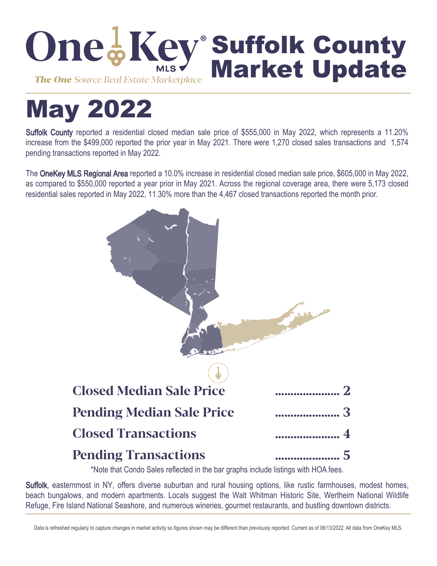

# May 2022

Suffolk County reported a residential closed median sale price of \$555,000 in May 2022, which represents a 11.20% increase from the \$499,000 reported the prior year in May 2021. There were 1,270 closed sales transactions and 1,574 pending transactions reported in May 2022.

The OneKey MLS Regional Area reported a 10.0% increase in residential closed median sale price, \$605,000 in May 2022, as compared to \$550,000 reported a year prior in May 2021. Across the regional coverage area, there were 5,173 closed residential sales reported in May 2022, 11.30% more than the 4,467 closed transactions reported the month prior.



\*Note that Condo Sales reflected in the bar graphs include listings with HOA fees.

Suffolk, easternmost in NY, offers diverse suburban and rural housing options, like rustic farmhouses, modest homes, beach bungalows, and modern apartments. Locals suggest the Walt Whitman Historic Site, Wertheim National Wildlife Refuge, Fire Island National Seashore, and numerous wineries, gourmet restaurants, and bustling downtown districts.

Data is refreshed regularly to capture changes in market activity so figures shown may be different than previously reported. Current as of 06/13/2022. All data from OneKey MLS.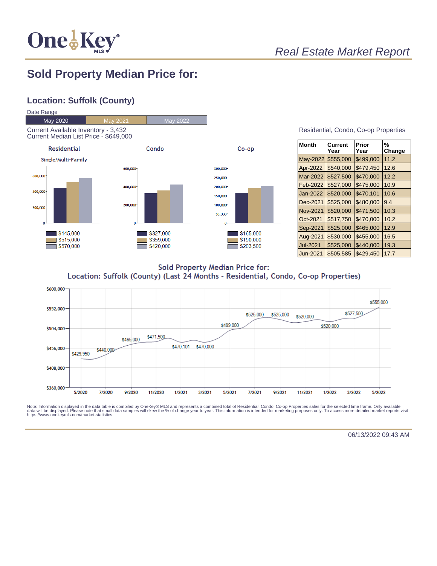

#### **Sold Property Median Price for:**

#### **Location: Suffolk (County)**



| <b>Month</b>    | Current<br>Year | Prior<br>Year | %<br>Change |
|-----------------|-----------------|---------------|-------------|
| May-2022        | \$555,000       | \$499,000     | 11.2        |
| Apr-2022        | \$540,000       | \$479,450     | 12.6        |
| Mar-2022        | \$527,500       | \$470,000     | 12.2        |
| Feb-2022        | \$527,000       | \$475,000     | 10.9        |
| Jan-2022        | \$520,000       | \$470,101     | 10.6        |
| Dec-2021        | \$525,000       | \$480,000     | 9.4         |
| <b>Nov-2021</b> | \$520,000       | \$471,500     | 10.3        |
| Oct-2021        | \$517,750       | \$470,000     | 10.2        |
| Sep-2021        | \$525,000       | \$465,000     | 12.9        |
| Aug-2021        | \$530,000       | \$455,000     | 16.5        |
| Jul-2021        | \$525,000       | \$440,000     | 19.3        |
| Jun-2021        | \$505,585       | \$429,450     | 17.7        |

**Sold Property Median Price for:** Location: Suffolk (County) (Last 24 Months - Residential, Condo, Co-op Properties)



Note: Information displayed in the data table is compiled by OneKey® MLS and represents a combined total of Residential, Condo, Co-op Properties sales for the selected time frame. Only available<br>data will be displayed. Pl

06/13/2022 09:43 AM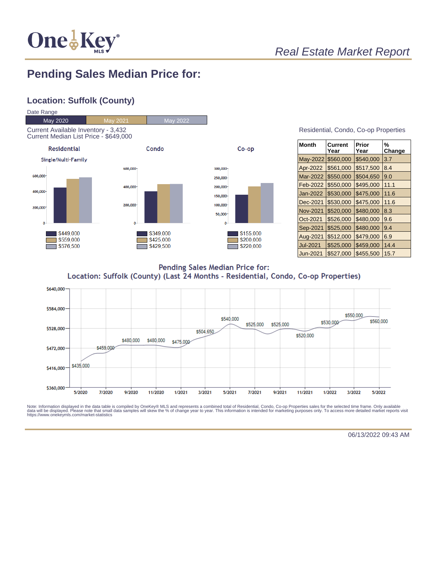

#### **Pending Sales Median Price for:**

#### **Location: Suffolk (County)**



| Residential, Condo, Co-op Properties |  |  |  |
|--------------------------------------|--|--|--|
|--------------------------------------|--|--|--|

| <b>Month</b>    | Current<br>Year | Prior<br>Year | %<br>Change |
|-----------------|-----------------|---------------|-------------|
| May-2022        | \$560,000       | \$540,000     | 3.7         |
| Apr-2022        | \$561,000       | \$517,500     | 8.4         |
| Mar-2022        | \$550,000       | \$504,650     | 9.0         |
| Feb-2022        | \$550,000       | \$495,000     | 11.1        |
| Jan-2022        | \$530,000       | \$475,000     | 11.6        |
| Dec-2021        | \$530,000       | \$475,000     | 11.6        |
| <b>Nov-2021</b> | \$520,000       | \$480,000     | 8.3         |
| Oct-2021        | \$526,000       | \$480,000     | 9.6         |
| Sep-2021        | \$525,000       | \$480,000     | 9.4         |
| Aug-2021        | \$512,000       | \$479,000     | 6.9         |
| <b>Jul-2021</b> | \$525,000       | \$459,000     | 14.4        |
| Jun-2021        | \$527,000       | \$455,500     | 15.7        |

Pending Sales Median Price for: Location: Suffolk (County) (Last 24 Months - Residential, Condo, Co-op Properties)



Note: Information displayed in the data table is compiled by OneKey® MLS and represents a combined total of Residential, Condo, Co-op Properties sales for the selected time frame. Only available<br>data will be displayed. Pl

06/13/2022 09:43 AM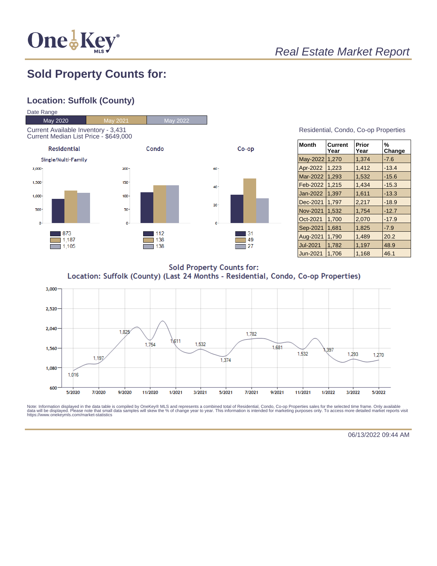

#### **Sold Property Counts for:**

#### **Location: Suffolk (County)**



Residential, Condo, Co-op Properties

| <b>Month</b>    | Current<br>Year | Prior<br>Year | %<br>Change |
|-----------------|-----------------|---------------|-------------|
| <b>May-2022</b> | 1,270           | 1.374         | $-7.6$      |
| Apr-2022        | 1,223           | 1,412         | $-13.4$     |
| Mar-2022        | 1,293           | 1.532         | $-15.6$     |
| Feb-2022        | 1,215           | 1,434         | $-15.3$     |
| Jan-2022        | 1.397           | 1,611         | $-13.3$     |
| Dec-2021        | 1,797           | 2,217         | $-18.9$     |
| <b>Nov-2021</b> | 1.532           | 1.754         | $-12.7$     |
| Oct-2021        | 1,700           | 2,070         | $-17.9$     |
| Sep-2021        | 1,681           | 1,825         | $-7.9$      |
| Aug-2021        | 1,790           | 1,489         | 20.2        |
| <b>Jul-2021</b> | 1,782           | 1,197         | 48.9        |
| Jun-2021        | 1.706           | 1.168         | 46.1        |

**Sold Property Counts for:** Location: Suffolk (County) (Last 24 Months - Residential, Condo, Co-op Properties)



Note: Information displayed in the data table is compiled by OneKey® MLS and represents a combined total of Residential, Condo, Co-op Properties sales for the selected time frame. Only available<br>data will be displayed. Pl

06/13/2022 09:44 AM